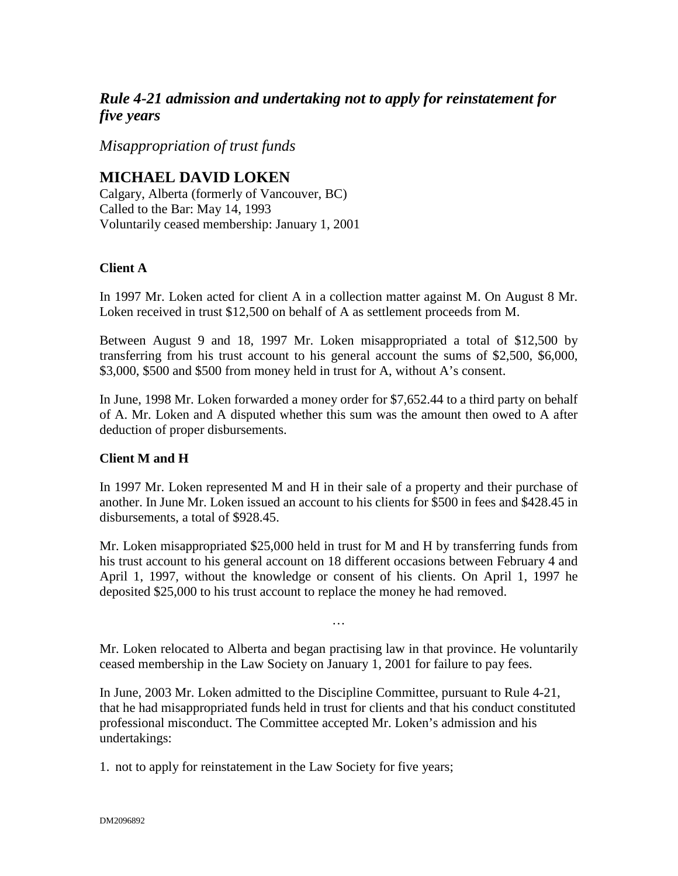## *Rule 4-21 admission and undertaking not to apply for reinstatement for five years*

*Misappropriation of trust funds*

## **MICHAEL DAVID LOKEN**

Calgary, Alberta (formerly of Vancouver, BC) Called to the Bar: May 14, 1993 Voluntarily ceased membership: January 1, 2001

## **Client A**

In 1997 Mr. Loken acted for client A in a collection matter against M. On August 8 Mr. Loken received in trust \$12,500 on behalf of A as settlement proceeds from M.

Between August 9 and 18, 1997 Mr. Loken misappropriated a total of \$12,500 by transferring from his trust account to his general account the sums of \$2,500, \$6,000, \$3,000, \$500 and \$500 from money held in trust for A, without A's consent.

In June, 1998 Mr. Loken forwarded a money order for \$7,652.44 to a third party on behalf of A. Mr. Loken and A disputed whether this sum was the amount then owed to A after deduction of proper disbursements.

## **Client M and H**

In 1997 Mr. Loken represented M and H in their sale of a property and their purchase of another. In June Mr. Loken issued an account to his clients for \$500 in fees and \$428.45 in disbursements, a total of \$928.45.

Mr. Loken misappropriated \$25,000 held in trust for M and H by transferring funds from his trust account to his general account on 18 different occasions between February 4 and April 1, 1997, without the knowledge or consent of his clients. On April 1, 1997 he deposited \$25,000 to his trust account to replace the money he had removed.

Mr. Loken relocated to Alberta and began practising law in that province. He voluntarily ceased membership in the Law Society on January 1, 2001 for failure to pay fees.

…

In June, 2003 Mr. Loken admitted to the Discipline Committee, pursuant to Rule 4-21, that he had misappropriated funds held in trust for clients and that his conduct constituted professional misconduct. The Committee accepted Mr. Loken's admission and his undertakings:

1. not to apply for reinstatement in the Law Society for five years;